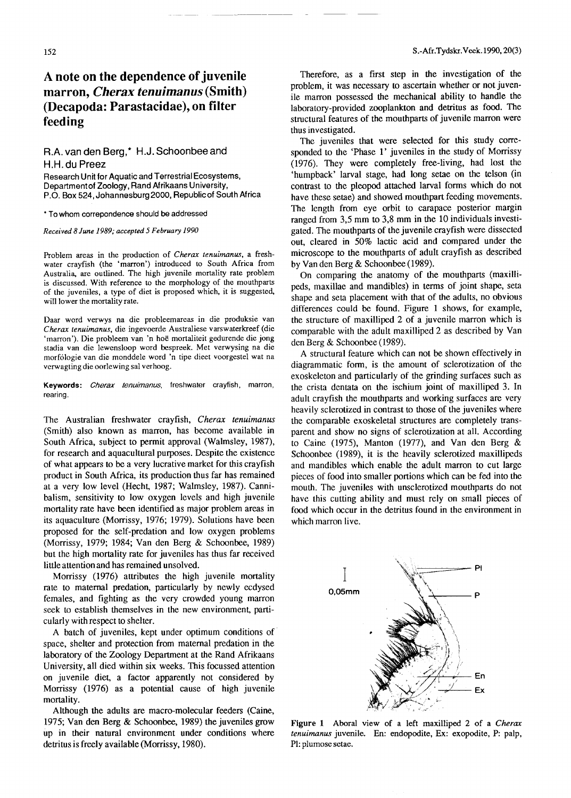## A **note on the dependence of juvenile marron,** *Cherax tenuimanus* **(Smith) (Decapoda: Parastacidae), on filter feeding**

## R.A. *van* den Berg,\* H.J. Schoonbee and H.H. du Preez

Research Unit for Aquatic and Terrestrial Ecosystems, Department of Zoology, Rand Afrikaans University, P.O. Box 524, Johannesburg 2000, Republicof South Africa

\* To whom correpondence should be addressed

Received 8 June 1989; accepted 5 February 1990

Problem areas in the production of *Cherax tenuimanus,* a freshwater crayfish (the 'marron') introduced to South Africa from Australia, are outlined. The high juvenile mortality rate problem is discussed. With reference to the morphology of the mouthparts of the juveniles, a type of diet is proposed which, it is suggested, will lower the mortality rate.

Daar word verwys na die probleemareas in die produksie van *Cherax tenuimanus,* die ingevoerde Australiese varswaterkreef (die 'marron'). Die probleem van 'n hoe mortaliteit gedurende die jong stadia van die lewensloop word bespreek. Met verwysing na die morfologie van die monddele word 'n tipe dieet voorgestel wat na verwagting die oorlewing sal verhoog.

Keywords: *Cherax fenu;manus,* freshwater crayfish, marron, rearing.

The Australian freshwater crayfish, *Cherax tenuimanus* (Smith) also known as marron, has become available in South Africa, subject to permit approval (Walmsley, 1987), for research and aquacultural purposes. Despite the existence of what appears to be a very lucrative market for this crayfish product in South Africa, its production thus far has remained at a very low level (Hecht, 1987; Walmsley, 1987). Cannibalism, sensitivity to low oxygen levels and high juvenile mortality rate have been identified as major problem areas in its aquaculture (Morrissy, 1976; 1979). Solutions have been proposed for the self-predation and low oxygen problems (Morrissy, 1979; 1984; Van den Berg & Schoonbee, 1989) but the high mortality rate for juveniles has thus far received little attention and has remained unsolved.

Morrissy (1976) attributes the high juvenile mortality rate to maternal predation, particularly by newly ecdysed females, and fighting as the very crowded young marron seek to establish themselves in the new environment, particularly with respect to shelter.

A batch of juveniles, kept under optimum conditions of space, shelter and protection from maternal predation in the laboratory of the Zoology Department at the Rand Afrikaans University, all died within six weeks. This focussed attention on juvenile diet, a factor apparently not considered by Morrissy (1976) as a potential cause of high juvenile mortality.

Although the adults are macro-molecular feeders (Caine, 1975; Van den Berg & Schoonbee, 1989) the juveniles grow up in their natural environment under conditions where detritus is freely available (Morrissy, 1980).

Therefore, as a first step in the investigation of the problem, it was necessary to ascertain whether or not juvenile marron possessed the mechanical ability to handle the laboratory-provided zooplankton and detritus as food. The structural features of the mouthparts of juvenile marron were thus investigated.

The juveniles that were selected for this study corresponded to the 'Phase 1' juveniles in the study of Morrissy (1976). They were completely free-living, had lost the 'humpback' larval stage, had long setae on the telson (in contrast to the pleopod attached larval forms which do not have these setae) and showed mouthpart feeding movements. The length from eye orbit to carapace posterior margin ranged from 3,5 mm to 3,8 mm in the 10 individuals investigated. The mouthparts of the juvenile crayfish were dissected out, cleared in 50% lactic acid and compared under the microscope to the mouthparts of adult crayfish as described by Van den Berg & Schoonbee (1989).

On comparing the anatomy of the mouthparts (maxillipeds, maxillae and mandibles) in terms of joint shape, seta shape and seta placement with that of the adults, no obvious differences could be found. Figure 1 shows, for example, the structure of maxilliped  $2$  of a juvenile marron which is comparable with the adult maxilliped 2 as described by Van den Berg & Schoonbee (1989).

A structural feature which can not be shown effectively in diagrammatic form, is the amount of sclerotization of the exoskeleton and particularly of the grinding surfaces such as the crista dentata on the ischium joint of maxilliped 3. In adult crayfish the mouthparts and working surfaces are very heavily sclerotized in contrast to those of the juveniles where the comparable exoskeletal structures are completely transparent and show no signs of sclerotization at all. According to Caine (1975), Manton (1977), and Van den Berg & Schoonbee (1989), it is the heavily sclerotized maxillipeds and mandibles which enable the adult marron to cut large pieces of food into smaller portions which can be fed into the mouth. The juveniles with unsclerotized mouthparts do not have this cutting ability and must rely on small pieces of food which occur in the detritus found in the environment in which marron live.



Figure 1 Aboral view of a left maxilliped 2 of a *Cherax tenuimanus* juvenile. En: endopodite, Ex: exopodite, P: palp, Pl: plumose setae.